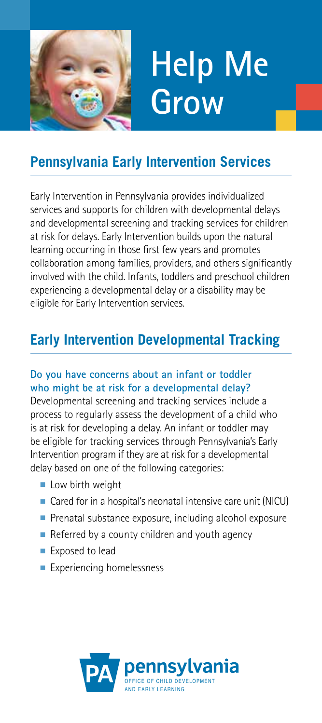

# **Help Me Grow**

## **Pennsylvania Early Intervention Services**

Early Intervention in Pennsylvania provides individualized services and supports for children with developmental delays and developmental screening and tracking services for children at risk for delays. Early Intervention builds upon the natural learning occurring in those frst few years and promotes collaboration among families, providers, and others signifcantly involved with the child. Infants, toddlers and preschool children experiencing a developmental delay or a disability may be eligible for Early Intervention services.

## **Early Intervention Developmental Tracking**

#### **Do you have concerns about an infant or toddler who might be at risk for a developmental delay?**

 be eligible for tracking services through Pennsylvania's Early Developmental screening and tracking services include a process to regularly assess the development of a child who is at risk for developing a delay. An infant or toddler may Intervention program if they are at risk for a developmental delay based on one of the following categories:

- Low birth weight
- Cared for in a hospital's neonatal intensive care unit (NICU)
- Prenatal substance exposure, including alcohol exposure
- Referred by a county children and youth agency
- Exposed to lead
- Experiencing homelessness